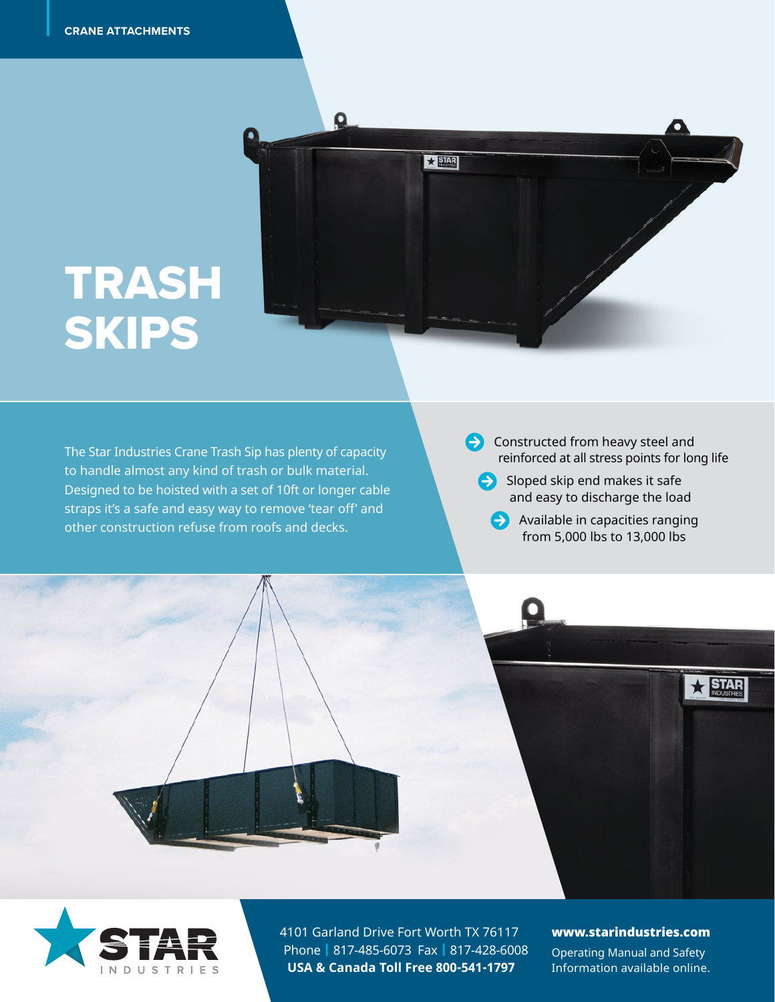TRASH

SKIPS

TRASH



PRODUCT STATE

 $\Omega$ 

 $\star$  STAR



- $\ominus$  Sloped skip end makes it safe and easy to discharge the load
	- **Available in capacities ranging** from 5,000 lbs to 13,000 lbs



4101 Garland Drive Fort Worth TX 76117 Phone | 817-485-6073 Fax | 817-428-6008 **USA & Canada Toll Free 800-541-1797**

#### www.starindustries.com

 $\star$  STAR

Operating Manual and Safety Information available online.